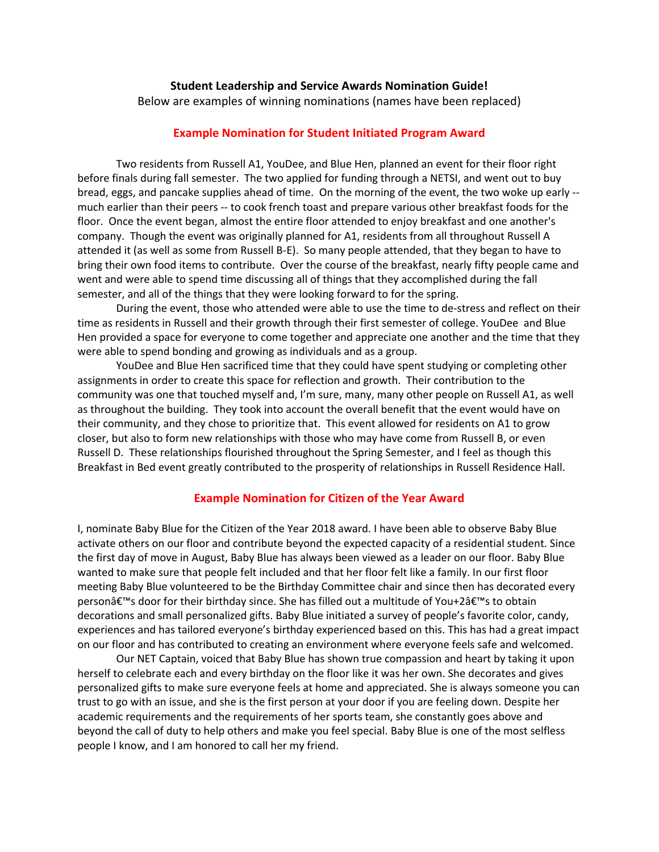## **Student Leadership and Service Awards Nomination Guide!**

Below are examples of winning nominations (names have been replaced)

## **Example Nomination for Student Initiated Program Award**

Two residents from Russell A1, YouDee, and Blue Hen, planned an event for their floor right before finals during fall semester. The two applied for funding through a NETSI, and went out to buy bread, eggs, and pancake supplies ahead of time. On the morning of the event, the two woke up early - much earlier than their peers -- to cook french toast and prepare various other breakfast foods for the floor. Once the event began, almost the entire floor attended to enjoy breakfast and one another's company. Though the event was originally planned for A1, residents from all throughout Russell A attended it (as well as some from Russell B-E). So many people attended, that they began to have to bring their own food items to contribute. Over the course of the breakfast, nearly fifty people came and went and were able to spend time discussing all of things that they accomplished during the fall semester, and all of the things that they were looking forward to for the spring.

During the event, those who attended were able to use the time to de-stress and reflect on their time as residents in Russell and their growth through their first semester of college. YouDee and Blue Hen provided a space for everyone to come together and appreciate one another and the time that they were able to spend bonding and growing as individuals and as a group.

YouDee and Blue Hen sacrificed time that they could have spent studying or completing other assignments in order to create this space for reflection and growth. Their contribution to the community was one that touched myself and, I'm sure, many, many other people on Russell A1, as well as throughout the building. They took into account the overall benefit that the event would have on their community, and they chose to prioritize that. This event allowed for residents on A1 to grow closer, but also to form new relationships with those who may have come from Russell B, or even Russell D. These relationships flourished throughout the Spring Semester, and I feel as though this Breakfast in Bed event greatly contributed to the prosperity of relationships in Russell Residence Hall.

#### **Example Nomination for Citizen of the Year Award**

I, nominate Baby Blue for the Citizen of the Year 2018 award. I have been able to observe Baby Blue activate others on our floor and contribute beyond the expected capacity of a residential student. Since the first day of move in August, Baby Blue has always been viewed as a leader on our floor. Baby Blue wanted to make sure that people felt included and that her floor felt like a family. In our first floor meeting Baby Blue volunteered to be the Birthday Committee chair and since then has decorated every personâ€<sup>™</sup>s door for their birthday since. She has filled out a multitude of You+2's to obtain decorations and small personalized gifts. Baby Blue initiated a survey of people's favorite color, candy, experiences and has tailored everyone's birthday experienced based on this. This has had a great impact on our floor and has contributed to creating an environment where everyone feels safe and welcomed.

Our NET Captain, voiced that Baby Blue has shown true compassion and heart by taking it upon herself to celebrate each and every birthday on the floor like it was her own. She decorates and gives personalized gifts to make sure everyone feels at home and appreciated. She is always someone you can trust to go with an issue, and she is the first person at your door if you are feeling down. Despite her academic requirements and the requirements of her sports team, she constantly goes above and beyond the call of duty to help others and make you feel special. Baby Blue is one of the most selfless people I know, and I am honored to call her my friend.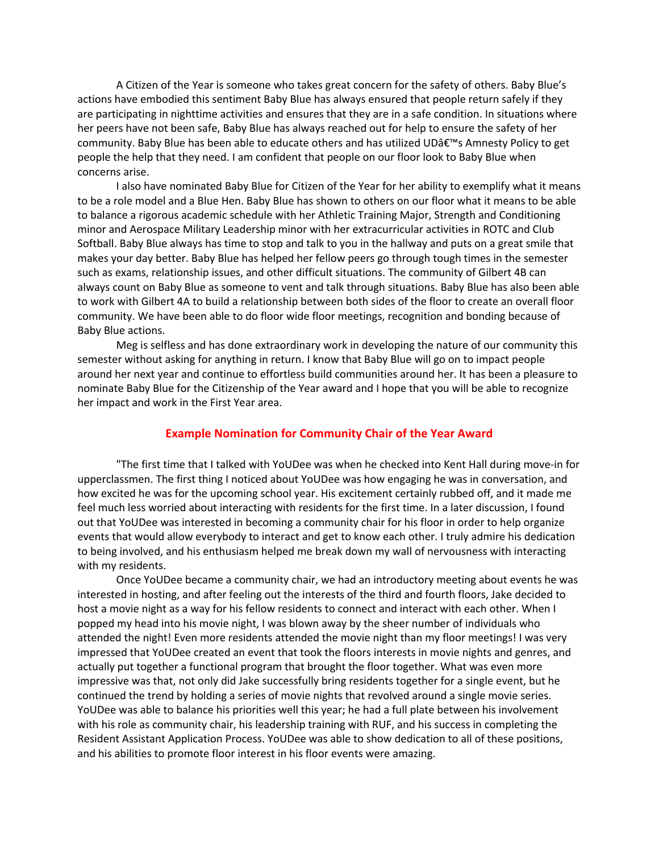A Citizen of the Year is someone who takes great concern for the safety of others. Baby Blue's actions have embodied this sentiment Baby Blue has always ensured that people return safely if they are participating in nighttime activities and ensures that they are in a safe condition. In situations where her peers have not been safe, Baby Blue has always reached out for help to ensure the safety of her community. Baby Blue has been able to educate others and has utilized UDâ€<sup>™</sup>s Amnesty Policy to get people the help that they need. I am confident that people on our floor look to Baby Blue when concerns arise.

I also have nominated Baby Blue for Citizen of the Year for her ability to exemplify what it means to be a role model and a Blue Hen. Baby Blue has shown to others on our floor what it means to be able to balance a rigorous academic schedule with her Athletic Training Major, Strength and Conditioning minor and Aerospace Military Leadership minor with her extracurricular activities in ROTC and Club Softball. Baby Blue always has time to stop and talk to you in the hallway and puts on a great smile that makes your day better. Baby Blue has helped her fellow peers go through tough times in the semester such as exams, relationship issues, and other difficult situations. The community of Gilbert 4B can always count on Baby Blue as someone to vent and talk through situations. Baby Blue has also been able to work with Gilbert 4A to build a relationship between both sides of the floor to create an overall floor community. We have been able to do floor wide floor meetings, recognition and bonding because of Baby Blue actions.

Meg is selfless and has done extraordinary work in developing the nature of our community this semester without asking for anything in return. I know that Baby Blue will go on to impact people around her next year and continue to effortless build communities around her. It has been a pleasure to nominate Baby Blue for the Citizenship of the Year award and I hope that you will be able to recognize her impact and work in the First Year area.

## **Example Nomination for Community Chair of the Year Award**

"The first time that I talked with YoUDee was when he checked into Kent Hall during move-in for upperclassmen. The first thing I noticed about YoUDee was how engaging he was in conversation, and how excited he was for the upcoming school year. His excitement certainly rubbed off, and it made me feel much less worried about interacting with residents for the first time. In a later discussion, I found out that YoUDee was interested in becoming a community chair for his floor in order to help organize events that would allow everybody to interact and get to know each other. I truly admire his dedication to being involved, and his enthusiasm helped me break down my wall of nervousness with interacting with my residents.

Once YoUDee became a community chair, we had an introductory meeting about events he was interested in hosting, and after feeling out the interests of the third and fourth floors, Jake decided to host a movie night as a way for his fellow residents to connect and interact with each other. When I popped my head into his movie night, I was blown away by the sheer number of individuals who attended the night! Even more residents attended the movie night than my floor meetings! I was very impressed that YoUDee created an event that took the floors interests in movie nights and genres, and actually put together a functional program that brought the floor together. What was even more impressive was that, not only did Jake successfully bring residents together for a single event, but he continued the trend by holding a series of movie nights that revolved around a single movie series. YoUDee was able to balance his priorities well this year; he had a full plate between his involvement with his role as community chair, his leadership training with RUF, and his success in completing the Resident Assistant Application Process. YoUDee was able to show dedication to all of these positions, and his abilities to promote floor interest in his floor events were amazing.